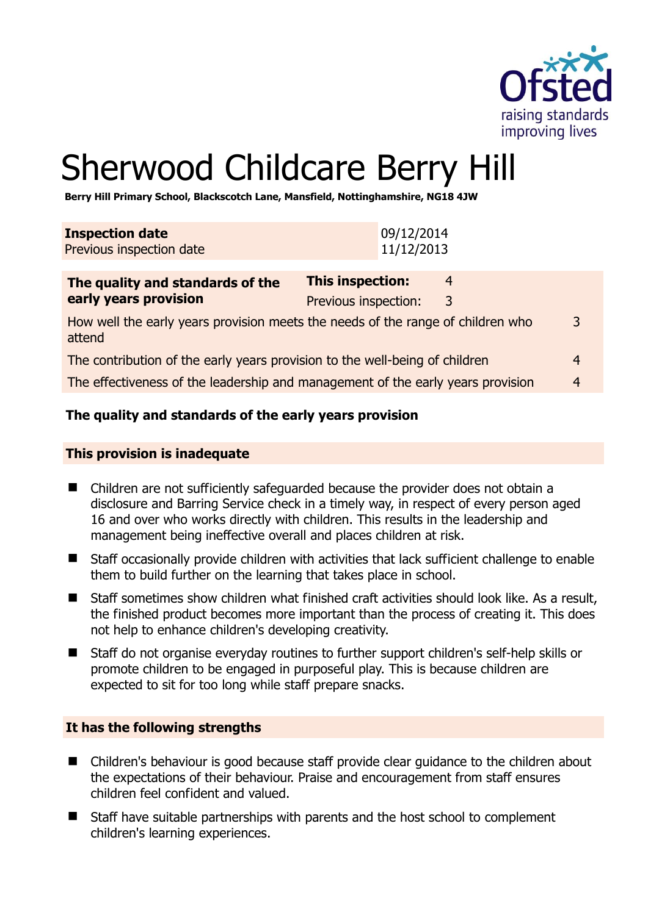

# Sherwood Childcare Berry Hill

**Berry Hill Primary School, Blackscotch Lane, Mansfield, Nottinghamshire, NG18 4JW** 

| <b>Inspection date</b><br>Previous inspection date                                        | 09/12/2014<br>11/12/2013                        |        |                |
|-------------------------------------------------------------------------------------------|-------------------------------------------------|--------|----------------|
| The quality and standards of the<br>early years provision                                 | <b>This inspection:</b><br>Previous inspection: | 4<br>3 |                |
| How well the early years provision meets the needs of the range of children who<br>attend |                                                 |        | 3              |
| The contribution of the early years provision to the well-being of children               |                                                 |        | $\overline{4}$ |
| The effectiveness of the leadership and management of the early years provision           |                                                 |        | $\overline{4}$ |

# **The quality and standards of the early years provision**

#### **This provision is inadequate**

- Children are not sufficiently safeguarded because the provider does not obtain a disclosure and Barring Service check in a timely way, in respect of every person aged 16 and over who works directly with children. This results in the leadership and management being ineffective overall and places children at risk.
- Staff occasionally provide children with activities that lack sufficient challenge to enable them to build further on the learning that takes place in school.
- $\blacksquare$  Staff sometimes show children what finished craft activities should look like. As a result, the finished product becomes more important than the process of creating it. This does not help to enhance children's developing creativity.
- Staff do not organise everyday routines to further support children's self-help skills or promote children to be engaged in purposeful play. This is because children are expected to sit for too long while staff prepare snacks.

# **It has the following strengths**

- Children's behaviour is good because staff provide clear quidance to the children about the expectations of their behaviour. Praise and encouragement from staff ensures children feel confident and valued.
- Staff have suitable partnerships with parents and the host school to complement children's learning experiences.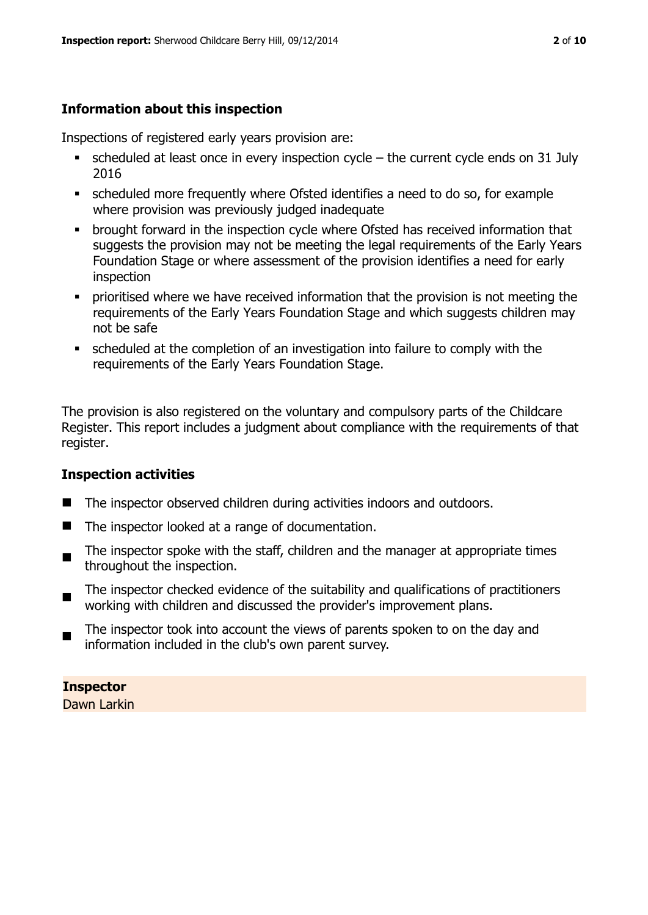# **Information about this inspection**

Inspections of registered early years provision are:

- $\bullet$  scheduled at least once in every inspection cycle the current cycle ends on 31 July 2016
- scheduled more frequently where Ofsted identifies a need to do so, for example where provision was previously judged inadequate
- **•** brought forward in the inspection cycle where Ofsted has received information that suggests the provision may not be meeting the legal requirements of the Early Years Foundation Stage or where assessment of the provision identifies a need for early inspection
- **•** prioritised where we have received information that the provision is not meeting the requirements of the Early Years Foundation Stage and which suggests children may not be safe
- scheduled at the completion of an investigation into failure to comply with the requirements of the Early Years Foundation Stage.

The provision is also registered on the voluntary and compulsory parts of the Childcare Register. This report includes a judgment about compliance with the requirements of that register.

# **Inspection activities**

- The inspector observed children during activities indoors and outdoors.
- The inspector looked at a range of documentation.
- $\blacksquare$ The inspector spoke with the staff, children and the manager at appropriate times throughout the inspection.
- The inspector checked evidence of the suitability and qualifications of practitioners working with children and discussed the provider's improvement plans.
- The inspector took into account the views of parents spoken to on the day and information included in the club's own parent survey.

**Inspector**  Dawn Larkin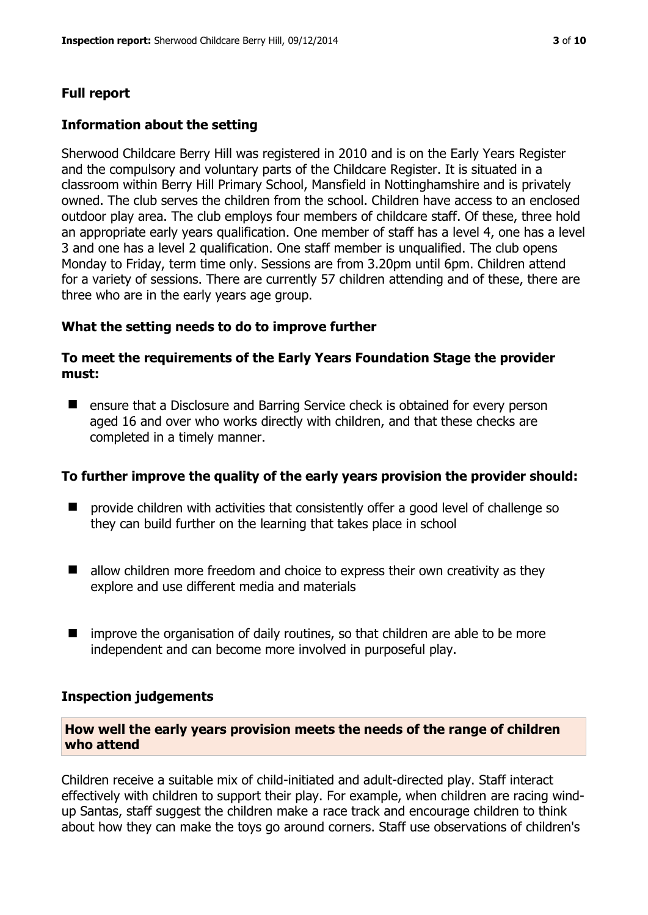# **Full report**

### **Information about the setting**

Sherwood Childcare Berry Hill was registered in 2010 and is on the Early Years Register and the compulsory and voluntary parts of the Childcare Register. It is situated in a classroom within Berry Hill Primary School, Mansfield in Nottinghamshire and is privately owned. The club serves the children from the school. Children have access to an enclosed outdoor play area. The club employs four members of childcare staff. Of these, three hold an appropriate early years qualification. One member of staff has a level 4, one has a level 3 and one has a level 2 qualification. One staff member is unqualified. The club opens Monday to Friday, term time only. Sessions are from 3.20pm until 6pm. Children attend for a variety of sessions. There are currently 57 children attending and of these, there are three who are in the early years age group.

#### **What the setting needs to do to improve further**

#### **To meet the requirements of the Early Years Foundation Stage the provider must:**

**E** ensure that a Disclosure and Barring Service check is obtained for every person aged 16 and over who works directly with children, and that these checks are completed in a timely manner.

#### **To further improve the quality of the early years provision the provider should:**

- provide children with activities that consistently offer a good level of challenge so they can build further on the learning that takes place in school
- $\blacksquare$  allow children more freedom and choice to express their own creativity as they explore and use different media and materials
- $\blacksquare$  improve the organisation of daily routines, so that children are able to be more independent and can become more involved in purposeful play.

#### **Inspection judgements**

#### **How well the early years provision meets the needs of the range of children who attend**

Children receive a suitable mix of child-initiated and adult-directed play. Staff interact effectively with children to support their play. For example, when children are racing windup Santas, staff suggest the children make a race track and encourage children to think about how they can make the toys go around corners. Staff use observations of children's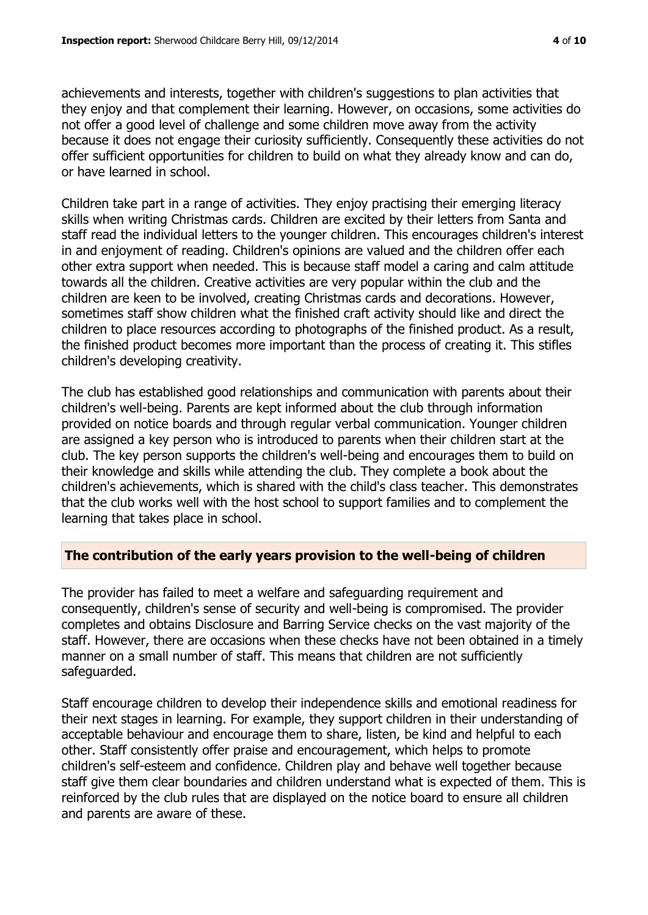achievements and interests, together with children's suggestions to plan activities that they enjoy and that complement their learning. However, on occasions, some activities do not offer a good level of challenge and some children move away from the activity because it does not engage their curiosity sufficiently. Consequently these activities do not offer sufficient opportunities for children to build on what they already know and can do, or have learned in school.

Children take part in a range of activities. They enjoy practising their emerging literacy skills when writing Christmas cards. Children are excited by their letters from Santa and staff read the individual letters to the younger children. This encourages children's interest in and enjoyment of reading. Children's opinions are valued and the children offer each other extra support when needed. This is because staff model a caring and calm attitude towards all the children. Creative activities are very popular within the club and the children are keen to be involved, creating Christmas cards and decorations. However, sometimes staff show children what the finished craft activity should like and direct the children to place resources according to photographs of the finished product. As a result, the finished product becomes more important than the process of creating it. This stifles children's developing creativity.

The club has established good relationships and communication with parents about their children's well-being. Parents are kept informed about the club through information provided on notice boards and through regular verbal communication. Younger children are assigned a key person who is introduced to parents when their children start at the club. The key person supports the children's well-being and encourages them to build on their knowledge and skills while attending the club. They complete a book about the children's achievements, which is shared with the child's class teacher. This demonstrates that the club works well with the host school to support families and to complement the learning that takes place in school.

# **The contribution of the early years provision to the well-being of children**

The provider has failed to meet a welfare and safeguarding requirement and consequently, children's sense of security and well-being is compromised. The provider completes and obtains Disclosure and Barring Service checks on the vast majority of the staff. However, there are occasions when these checks have not been obtained in a timely manner on a small number of staff. This means that children are not sufficiently safeguarded.

Staff encourage children to develop their independence skills and emotional readiness for their next stages in learning. For example, they support children in their understanding of acceptable behaviour and encourage them to share, listen, be kind and helpful to each other. Staff consistently offer praise and encouragement, which helps to promote children's self-esteem and confidence. Children play and behave well together because staff give them clear boundaries and children understand what is expected of them. This is reinforced by the club rules that are displayed on the notice board to ensure all children and parents are aware of these.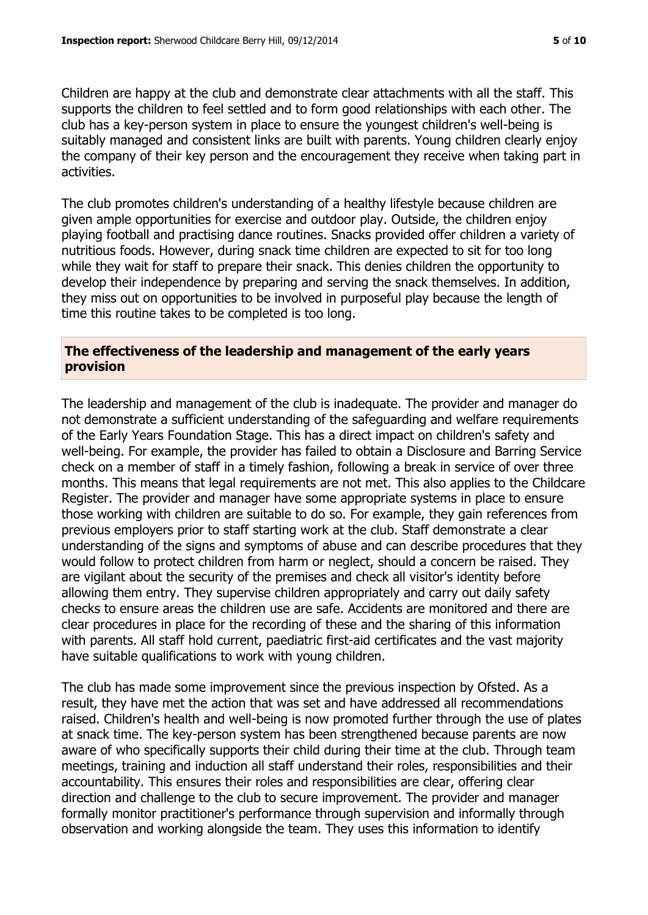Children are happy at the club and demonstrate clear attachments with all the staff. This supports the children to feel settled and to form good relationships with each other. The club has a key-person system in place to ensure the youngest children's well-being is suitably managed and consistent links are built with parents. Young children clearly enjoy the company of their key person and the encouragement they receive when taking part in activities.

The club promotes children's understanding of a healthy lifestyle because children are given ample opportunities for exercise and outdoor play. Outside, the children enjoy playing football and practising dance routines. Snacks provided offer children a variety of nutritious foods. However, during snack time children are expected to sit for too long while they wait for staff to prepare their snack. This denies children the opportunity to develop their independence by preparing and serving the snack themselves. In addition, they miss out on opportunities to be involved in purposeful play because the length of time this routine takes to be completed is too long.

#### **The effectiveness of the leadership and management of the early years provision**

The leadership and management of the club is inadequate. The provider and manager do not demonstrate a sufficient understanding of the safeguarding and welfare requirements of the Early Years Foundation Stage. This has a direct impact on children's safety and well-being. For example, the provider has failed to obtain a Disclosure and Barring Service check on a member of staff in a timely fashion, following a break in service of over three months. This means that legal requirements are not met. This also applies to the Childcare Register. The provider and manager have some appropriate systems in place to ensure those working with children are suitable to do so. For example, they gain references from previous employers prior to staff starting work at the club. Staff demonstrate a clear understanding of the signs and symptoms of abuse and can describe procedures that they would follow to protect children from harm or neglect, should a concern be raised. They are vigilant about the security of the premises and check all visitor's identity before allowing them entry. They supervise children appropriately and carry out daily safety checks to ensure areas the children use are safe. Accidents are monitored and there are clear procedures in place for the recording of these and the sharing of this information with parents. All staff hold current, paediatric first-aid certificates and the vast majority have suitable qualifications to work with young children.

The club has made some improvement since the previous inspection by Ofsted. As a result, they have met the action that was set and have addressed all recommendations raised. Children's health and well-being is now promoted further through the use of plates at snack time. The key-person system has been strengthened because parents are now aware of who specifically supports their child during their time at the club. Through team meetings, training and induction all staff understand their roles, responsibilities and their accountability. This ensures their roles and responsibilities are clear, offering clear direction and challenge to the club to secure improvement. The provider and manager formally monitor practitioner's performance through supervision and informally through observation and working alongside the team. They uses this information to identify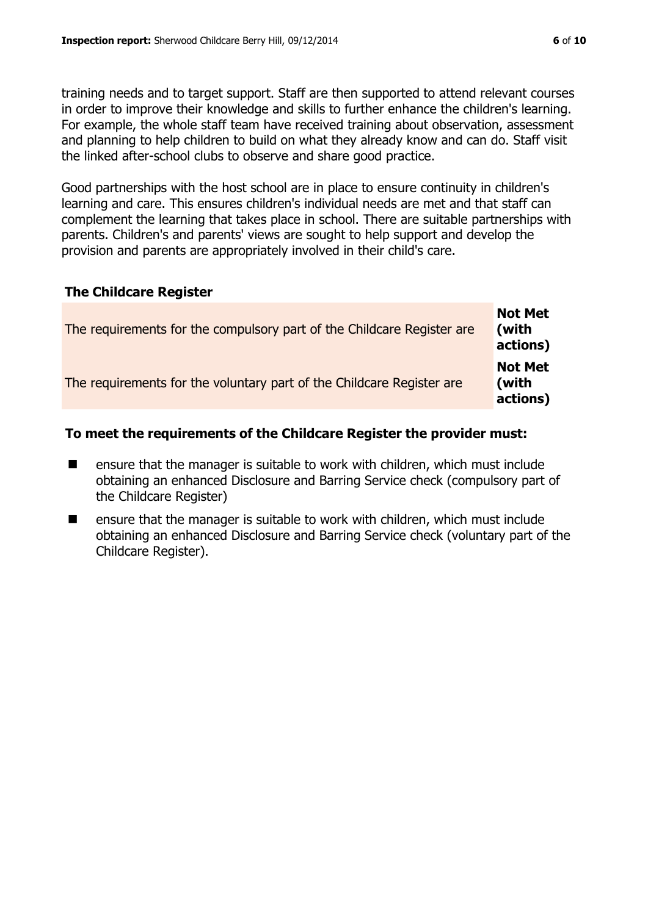training needs and to target support. Staff are then supported to attend relevant courses in order to improve their knowledge and skills to further enhance the children's learning. For example, the whole staff team have received training about observation, assessment and planning to help children to build on what they already know and can do. Staff visit the linked after-school clubs to observe and share good practice.

Good partnerships with the host school are in place to ensure continuity in children's learning and care. This ensures children's individual needs are met and that staff can complement the learning that takes place in school. There are suitable partnerships with parents. Children's and parents' views are sought to help support and develop the provision and parents are appropriately involved in their child's care.

#### **The Childcare Register**

| The requirements for the compulsory part of the Childcare Register are | <b>Not Met</b><br>(with<br>actions) |
|------------------------------------------------------------------------|-------------------------------------|
| The requirements for the voluntary part of the Childcare Register are  | <b>Not Met</b><br>(with<br>actions) |

# **To meet the requirements of the Childcare Register the provider must:**

- ensure that the manager is suitable to work with children, which must include obtaining an enhanced Disclosure and Barring Service check (compulsory part of the Childcare Register)
- ensure that the manager is suitable to work with children, which must include obtaining an enhanced Disclosure and Barring Service check (voluntary part of the Childcare Register).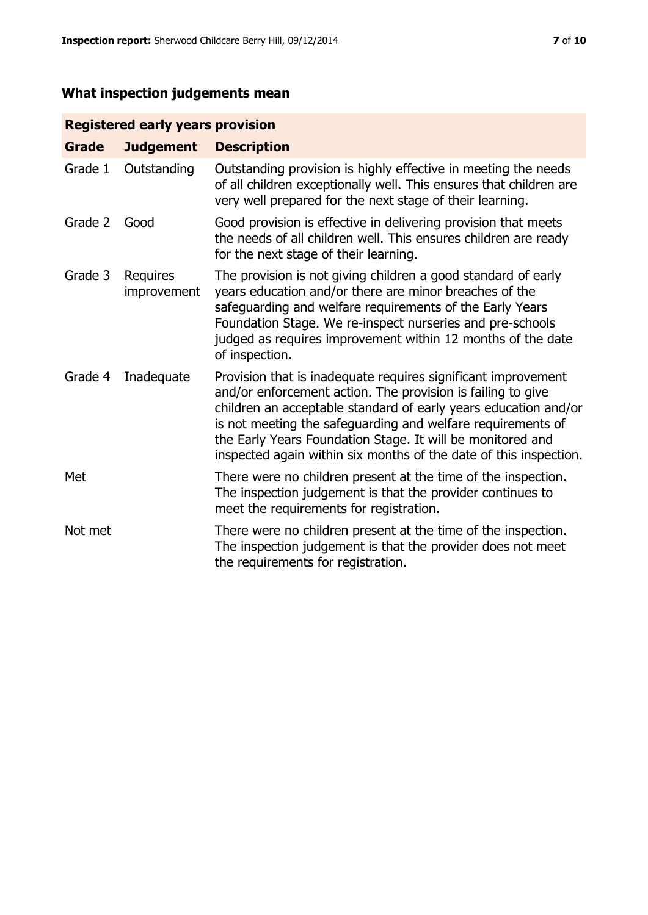# **What inspection judgements mean**

# **Registered early years provision**

| <b>Grade</b> | <b>Judgement</b>        | <b>Description</b>                                                                                                                                                                                                                                                                                                                                                                                |
|--------------|-------------------------|---------------------------------------------------------------------------------------------------------------------------------------------------------------------------------------------------------------------------------------------------------------------------------------------------------------------------------------------------------------------------------------------------|
| Grade 1      | Outstanding             | Outstanding provision is highly effective in meeting the needs<br>of all children exceptionally well. This ensures that children are<br>very well prepared for the next stage of their learning.                                                                                                                                                                                                  |
| Grade 2      | Good                    | Good provision is effective in delivering provision that meets<br>the needs of all children well. This ensures children are ready<br>for the next stage of their learning.                                                                                                                                                                                                                        |
| Grade 3      | Requires<br>improvement | The provision is not giving children a good standard of early<br>years education and/or there are minor breaches of the<br>safeguarding and welfare requirements of the Early Years<br>Foundation Stage. We re-inspect nurseries and pre-schools<br>judged as requires improvement within 12 months of the date<br>of inspection.                                                                 |
| Grade 4      | Inadequate              | Provision that is inadequate requires significant improvement<br>and/or enforcement action. The provision is failing to give<br>children an acceptable standard of early years education and/or<br>is not meeting the safeguarding and welfare requirements of<br>the Early Years Foundation Stage. It will be monitored and<br>inspected again within six months of the date of this inspection. |
| Met          |                         | There were no children present at the time of the inspection.<br>The inspection judgement is that the provider continues to<br>meet the requirements for registration.                                                                                                                                                                                                                            |
| Not met      |                         | There were no children present at the time of the inspection.<br>The inspection judgement is that the provider does not meet<br>the requirements for registration.                                                                                                                                                                                                                                |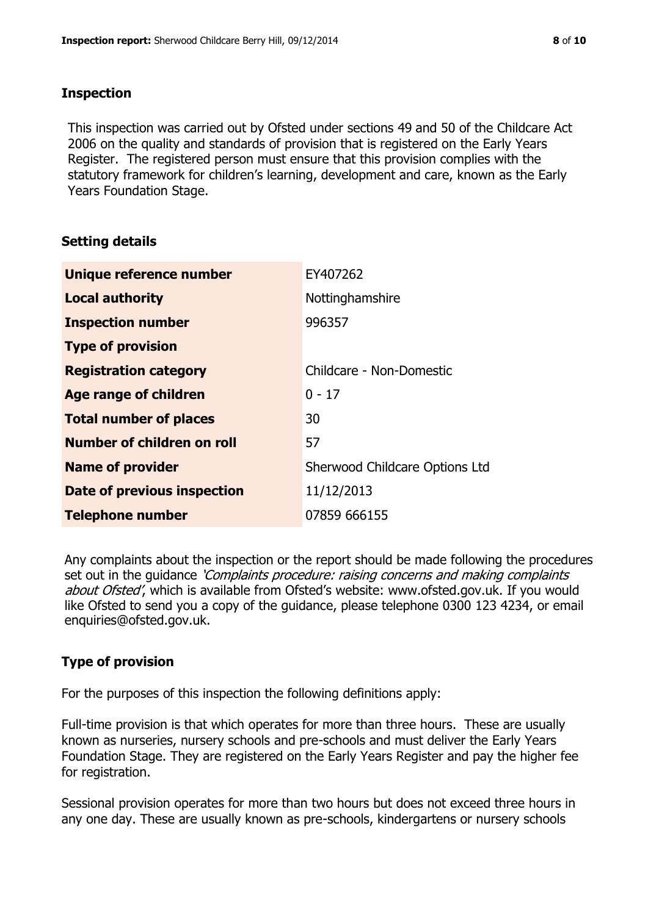#### **Inspection**

This inspection was carried out by Ofsted under sections 49 and 50 of the Childcare Act 2006 on the quality and standards of provision that is registered on the Early Years Register. The registered person must ensure that this provision complies with the statutory framework for children's learning, development and care, known as the Early Years Foundation Stage.

# **Setting details**

| Unique reference number       | EY407262                       |
|-------------------------------|--------------------------------|
| <b>Local authority</b>        | Nottinghamshire                |
| <b>Inspection number</b>      | 996357                         |
| <b>Type of provision</b>      |                                |
| <b>Registration category</b>  | Childcare - Non-Domestic       |
| Age range of children         | $0 - 17$                       |
| <b>Total number of places</b> | 30                             |
| Number of children on roll    | 57                             |
| <b>Name of provider</b>       | Sherwood Childcare Options Ltd |
| Date of previous inspection   | 11/12/2013                     |
| <b>Telephone number</b>       | 07859 666155                   |

Any complaints about the inspection or the report should be made following the procedures set out in the guidance *'Complaints procedure: raising concerns and making complaints* about Ofsted', which is available from Ofsted's website: www.ofsted.gov.uk. If you would like Ofsted to send you a copy of the guidance, please telephone 0300 123 4234, or email enquiries@ofsted.gov.uk.

# **Type of provision**

For the purposes of this inspection the following definitions apply:

Full-time provision is that which operates for more than three hours. These are usually known as nurseries, nursery schools and pre-schools and must deliver the Early Years Foundation Stage. They are registered on the Early Years Register and pay the higher fee for registration.

Sessional provision operates for more than two hours but does not exceed three hours in any one day. These are usually known as pre-schools, kindergartens or nursery schools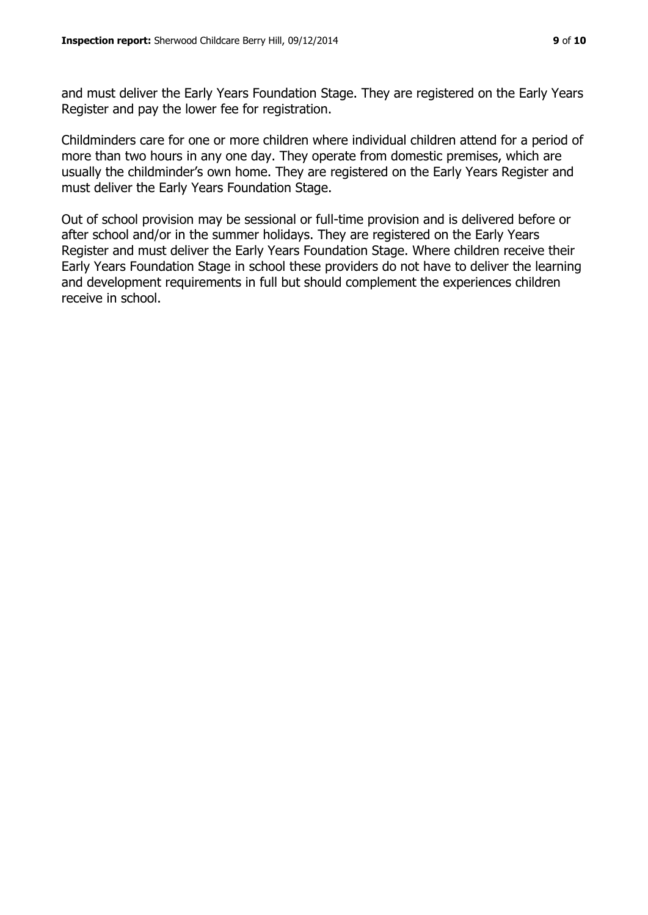and must deliver the Early Years Foundation Stage. They are registered on the Early Years Register and pay the lower fee for registration.

Childminders care for one or more children where individual children attend for a period of more than two hours in any one day. They operate from domestic premises, which are usually the childminder's own home. They are registered on the Early Years Register and must deliver the Early Years Foundation Stage.

Out of school provision may be sessional or full-time provision and is delivered before or after school and/or in the summer holidays. They are registered on the Early Years Register and must deliver the Early Years Foundation Stage. Where children receive their Early Years Foundation Stage in school these providers do not have to deliver the learning and development requirements in full but should complement the experiences children receive in school.